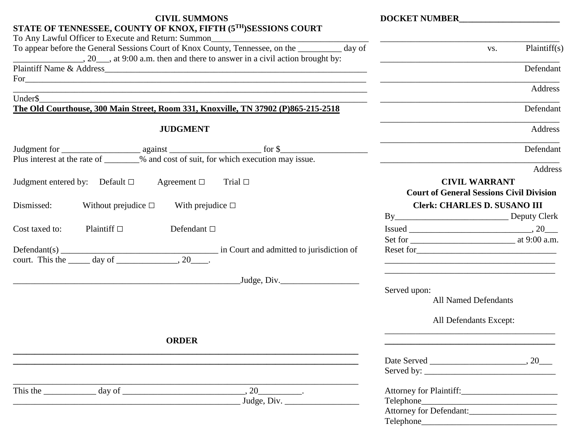| <b>CIVIL SUMMONS</b>                                                                                                                                                                |                                                            |                                                                                                                        |                                                                                                                                                                                                                                                                                                                                                                                   | <b>DOCKET NUMBER</b> |  |
|-------------------------------------------------------------------------------------------------------------------------------------------------------------------------------------|------------------------------------------------------------|------------------------------------------------------------------------------------------------------------------------|-----------------------------------------------------------------------------------------------------------------------------------------------------------------------------------------------------------------------------------------------------------------------------------------------------------------------------------------------------------------------------------|----------------------|--|
|                                                                                                                                                                                     |                                                            | STATE OF TENNESSEE, COUNTY OF KNOX, FIFTH (5TH)SESSIONS COURT                                                          |                                                                                                                                                                                                                                                                                                                                                                                   |                      |  |
| To Any Lawful Officer to Execute and Return: Summon______________________________<br>To appear before the General Sessions Court of Knox County, Tennessee, on the _________ day of |                                                            |                                                                                                                        | Plaintiff $(s)$<br>VS.                                                                                                                                                                                                                                                                                                                                                            |                      |  |
|                                                                                                                                                                                     |                                                            |                                                                                                                        |                                                                                                                                                                                                                                                                                                                                                                                   | Defendant            |  |
| Under\$                                                                                                                                                                             |                                                            | ,我们也不会有什么。""我们的人,我们也不会有什么?""我们的人,我们也不会有什么?""我们的人,我们的人,我们的人,我们的人,我们的人,我们的人,我们的人,我                                       |                                                                                                                                                                                                                                                                                                                                                                                   | Address              |  |
|                                                                                                                                                                                     |                                                            | The Old Courthouse, 300 Main Street, Room 331, Knoxville, TN 37902 (P)865-215-2518                                     |                                                                                                                                                                                                                                                                                                                                                                                   | Defendant            |  |
|                                                                                                                                                                                     | <b>JUDGMENT</b>                                            |                                                                                                                        |                                                                                                                                                                                                                                                                                                                                                                                   | Address              |  |
|                                                                                                                                                                                     |                                                            |                                                                                                                        |                                                                                                                                                                                                                                                                                                                                                                                   | Defendant            |  |
|                                                                                                                                                                                     |                                                            | Plus interest at the rate of _______% and cost of suit, for which execution may issue.                                 |                                                                                                                                                                                                                                                                                                                                                                                   | Address              |  |
| Judgment entered by: Default $\Box$ Agreement $\Box$ Trial $\Box$                                                                                                                   |                                                            |                                                                                                                        | <b>CIVIL WARRANT</b>                                                                                                                                                                                                                                                                                                                                                              |                      |  |
|                                                                                                                                                                                     |                                                            |                                                                                                                        | <b>Court of General Sessions Civil Division</b>                                                                                                                                                                                                                                                                                                                                   |                      |  |
| Dismissed:                                                                                                                                                                          | Without prejudice $\square$ With prejudice $\square$       |                                                                                                                        | <b>Clerk: CHARLES D. SUSANO III</b>                                                                                                                                                                                                                                                                                                                                               |                      |  |
|                                                                                                                                                                                     |                                                            |                                                                                                                        |                                                                                                                                                                                                                                                                                                                                                                                   |                      |  |
| Cost taxed to:<br>Plaintiff $\Box$                                                                                                                                                  | Defendant $\Box$                                           |                                                                                                                        | $\begin{picture}(150,10) \put(0,0){\dashbox{0.5}(10,0){ }} \put(150,0){\circle{10}} \put(150,0){\circle{10}} \put(150,0){\circle{10}} \put(150,0){\circle{10}} \put(150,0){\circle{10}} \put(150,0){\circle{10}} \put(150,0){\circle{10}} \put(150,0){\circle{10}} \put(150,0){\circle{10}} \put(150,0){\circle{10}} \put(150,0){\circle{10}} \put(150,0){\circle{10}} \put(150,$ |                      |  |
|                                                                                                                                                                                     |                                                            |                                                                                                                        |                                                                                                                                                                                                                                                                                                                                                                                   |                      |  |
|                                                                                                                                                                                     |                                                            | Defendant(s) $\frac{1}{\text{count. This the } \text{day of } \text{}}$ , 20. in Court and admitted to jurisdiction of |                                                                                                                                                                                                                                                                                                                                                                                   |                      |  |
|                                                                                                                                                                                     |                                                            | Judge, Div.                                                                                                            |                                                                                                                                                                                                                                                                                                                                                                                   |                      |  |
|                                                                                                                                                                                     |                                                            |                                                                                                                        | Served upon:                                                                                                                                                                                                                                                                                                                                                                      |                      |  |
|                                                                                                                                                                                     |                                                            |                                                                                                                        | <b>All Named Defendants</b>                                                                                                                                                                                                                                                                                                                                                       |                      |  |
|                                                                                                                                                                                     |                                                            |                                                                                                                        | All Defendants Except:                                                                                                                                                                                                                                                                                                                                                            |                      |  |
|                                                                                                                                                                                     | <b>ORDER</b>                                               |                                                                                                                        |                                                                                                                                                                                                                                                                                                                                                                                   |                      |  |
|                                                                                                                                                                                     |                                                            |                                                                                                                        |                                                                                                                                                                                                                                                                                                                                                                                   |                      |  |
|                                                                                                                                                                                     |                                                            |                                                                                                                        |                                                                                                                                                                                                                                                                                                                                                                                   |                      |  |
|                                                                                                                                                                                     |                                                            | $, 20$ $.$                                                                                                             |                                                                                                                                                                                                                                                                                                                                                                                   |                      |  |
|                                                                                                                                                                                     | <u> 1989 - Johann Stoff, amerikansk politiker (* 1908)</u> | Judge, Div. $\_\_\_\_\_\_\_\_\_\_\_\_\_\_\_\_\_\_\_\_$                                                                 |                                                                                                                                                                                                                                                                                                                                                                                   |                      |  |
|                                                                                                                                                                                     |                                                            |                                                                                                                        | Attorney for Defendant:                                                                                                                                                                                                                                                                                                                                                           |                      |  |
|                                                                                                                                                                                     |                                                            |                                                                                                                        |                                                                                                                                                                                                                                                                                                                                                                                   |                      |  |